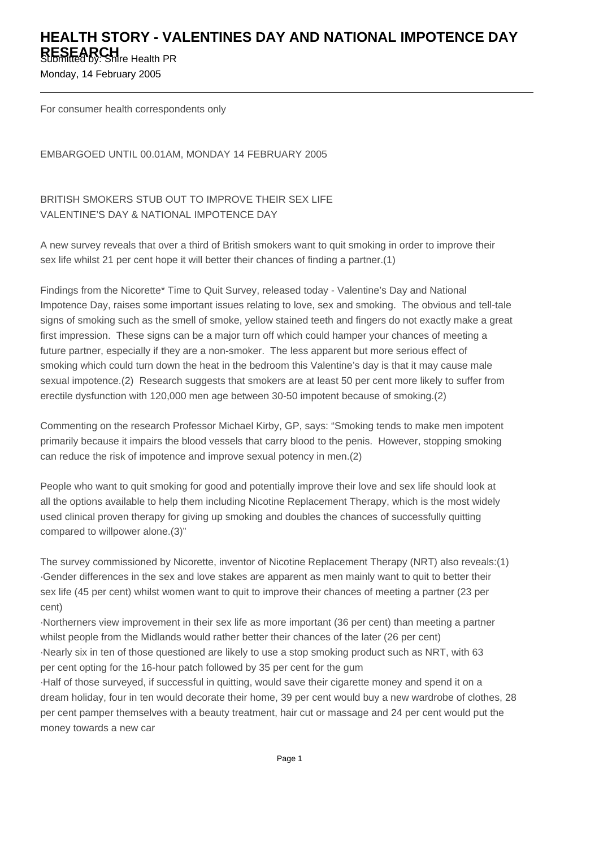## **HEALTH STORY - VALENTINES DAY AND NATIONAL IMPOTENCE DAY RESEARCH**<br>Submitted by: Shire Health PR Monday, 14 February 2005

For consumer health correspondents only

EMBARGOED UNTIL 00.01AM, MONDAY 14 FEBRUARY 2005

BRITISH SMOKERS STUB OUT TO IMPROVE THEIR SEX LIFE VALENTINE'S DAY & NATIONAL IMPOTENCE DAY

A new survey reveals that over a third of British smokers want to quit smoking in order to improve their sex life whilst 21 per cent hope it will better their chances of finding a partner.(1)

Findings from the Nicorette\* Time to Quit Survey, released today - Valentine's Day and National Impotence Day, raises some important issues relating to love, sex and smoking. The obvious and tell-tale signs of smoking such as the smell of smoke, yellow stained teeth and fingers do not exactly make a great first impression. These signs can be a major turn off which could hamper your chances of meeting a future partner, especially if they are a non-smoker. The less apparent but more serious effect of smoking which could turn down the heat in the bedroom this Valentine's day is that it may cause male sexual impotence.(2) Research suggests that smokers are at least 50 per cent more likely to suffer from erectile dysfunction with 120,000 men age between 30-50 impotent because of smoking.(2)

Commenting on the research Professor Michael Kirby, GP, says: "Smoking tends to make men impotent primarily because it impairs the blood vessels that carry blood to the penis. However, stopping smoking can reduce the risk of impotence and improve sexual potency in men.(2)

People who want to quit smoking for good and potentially improve their love and sex life should look at all the options available to help them including Nicotine Replacement Therapy, which is the most widely used clinical proven therapy for giving up smoking and doubles the chances of successfully quitting compared to willpower alone.(3)"

The survey commissioned by Nicorette, inventor of Nicotine Replacement Therapy (NRT) also reveals:(1) · Gender differences in the sex and love stakes are apparent as men mainly want to quit to better their sex life (45 per cent) whilst women want to quit to improve their chances of meeting a partner (23 per cent)

· Northerners view improvement in their sex life as more important (36 per cent) than meeting a partner whilst people from the Midlands would rather better their chances of the later (26 per cent) · Nearly six in ten of those questioned are likely to use a stop smoking product such as NRT, with 63

per cent opting for the 16-hour patch followed by 35 per cent for the gum

· Half of those surveyed, if successful in quitting, would save their cigarette money and spend it on a dream holiday, four in ten would decorate their home, 39 per cent would buy a new wardrobe of clothes, 28 per cent pamper themselves with a beauty treatment, hair cut or massage and 24 per cent would put the money towards a new car